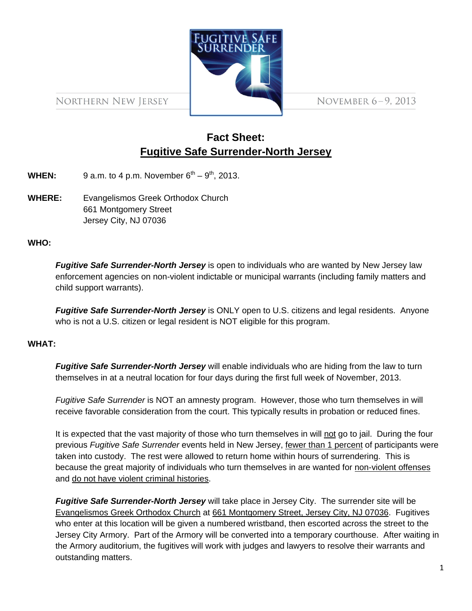

NORTHERN NEW JERSEY

NOVEMBER 6-9, 2013

# **Fact Sheet: Fugitive Safe Surrender-North Jersey**

**WHEN:** 9 a.m. to 4 p.m. November  $6^{th} - 9^{th}$ , 2013.

**WHERE:** Evangelismos Greek Orthodox Church 661 Montgomery Street Jersey City, NJ 07036

### **WHO:**

*Fugitive Safe Surrender-North Jersey* is open to individuals who are wanted by New Jersey law enforcement agencies on non-violent indictable or municipal warrants (including family matters and child support warrants).

*Fugitive Safe Surrender-North Jersey* is ONLY open to U.S. citizens and legal residents. Anyone who is not a U.S. citizen or legal resident is NOT eligible for this program.

#### **WHAT:**

*Fugitive Safe Surrender-North Jersey* will enable individuals who are hiding from the law to turn themselves in at a neutral location for four days during the first full week of November, 2013.

*Fugitive Safe Surrender* is NOT an amnesty program. However, those who turn themselves in will receive favorable consideration from the court. This typically results in probation or reduced fines.

It is expected that the vast majority of those who turn themselves in will not go to jail. During the four previous *Fugitive Safe Surrender* events held in New Jersey, fewer than 1 percent of participants were taken into custody. The rest were allowed to return home within hours of surrendering. This is because the great majority of individuals who turn themselves in are wanted for non-violent offenses and do not have violent criminal histories.

*Fugitive Safe Surrender-North Jersey* will take place in Jersey City. The surrender site will be Evangelismos Greek Orthodox Church at 661 Montgomery Street, Jersey City, NJ 07036. Fugitives who enter at this location will be given a numbered wristband, then escorted across the street to the Jersey City Armory. Part of the Armory will be converted into a temporary courthouse. After waiting in the Armory auditorium, the fugitives will work with judges and lawyers to resolve their warrants and outstanding matters.